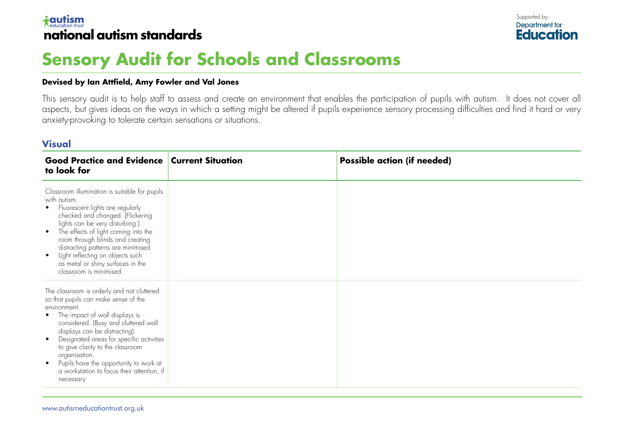### $\dagger$ autism **national autism standards**



# **Sensory Audit for Schools and Classrooms**

#### **Devised by Ian Attfield, Amy Fowler and Val Jones**

This sensory audit is to help staff to assess and create an environment that enables the participation of pupils with autism. It does not cover all aspects, but gives ideas on the ways in which a setting might be altered if pupils experience sensory processing difficulties and find it hard or very anxiety-provoking to tolerate certain sensations or situations.

#### **Visual**

| <b>Good Practice and Evidence Current Situation</b><br>to look for                                                                                                                                                                                                                                                                                                                                                                                         | <b>Possible action (if needed)</b> |
|------------------------------------------------------------------------------------------------------------------------------------------------------------------------------------------------------------------------------------------------------------------------------------------------------------------------------------------------------------------------------------------------------------------------------------------------------------|------------------------------------|
| Classroom illumination is suitable for pupils<br>with autism.<br>Fluorescent lights are regularly<br>$\bullet$<br>checked and changed. (Flickering<br>lights can be very disturbing.)<br>The effects of light coming into the<br>$\bullet$<br>room through blinds and creating<br>distracting patterns are minimised<br>Light reflecting on objects such<br>$\bullet$<br>as metal or shiny surfaces in the<br>classroom is minimised.                      |                                    |
| The classroom is orderly and not cluttered<br>so that pupils can make sense of the<br>environment.<br>The impact of wall displays is<br>$\bullet$<br>considered. (Busy and cluttered wall<br>displays can be distracting).<br>Designated areas for specific activities<br>$\bullet$<br>to give clarity to the classroom<br>organisation.<br>Pupils have the opportunity to work at<br>$\bullet$<br>a workstation to focus their attention, if<br>necessary |                                    |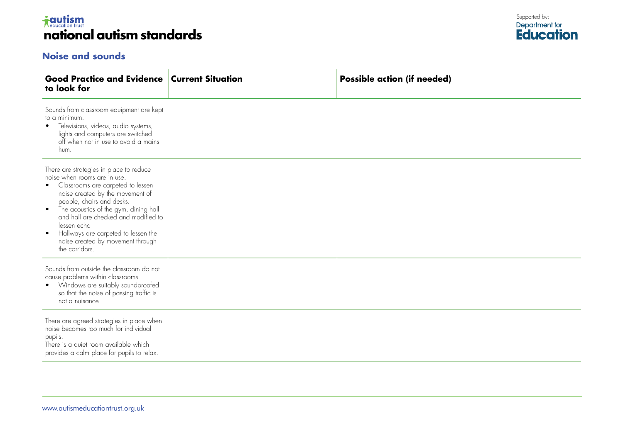### *i***cutism national autism standards**

### **Noise and sounds**



| <b>Good Practice and Evidence</b><br>to look for                                                                                                                                                                                                                                                                                                                                                      | <b>Current Situation</b> | <b>Possible action (if needed)</b> |
|-------------------------------------------------------------------------------------------------------------------------------------------------------------------------------------------------------------------------------------------------------------------------------------------------------------------------------------------------------------------------------------------------------|--------------------------|------------------------------------|
| Sounds from classroom equipment are kept<br>to a minimum.<br>Televisions, videos, audio systems,<br>$\bullet$<br>lights and computers are switched<br>off when not in use to avoid a mains<br>hum.                                                                                                                                                                                                    |                          |                                    |
| There are strategies in place to reduce<br>noise when rooms are in use.<br>Classrooms are carpeted to lessen<br>noise created by the movement of<br>people, chairs and desks.<br>The acoustics of the gym, dining hall<br>$\bullet$<br>and hall are checked and modified to<br>lessen echo<br>Hallways are carpeted to lessen the<br>$\bullet$<br>noise created by movement through<br>the corridors. |                          |                                    |
| Sounds from outside the classroom do not<br>cause problems within classrooms.<br>Windows are suitably soundproofed<br>$\bullet$<br>so that the noise of passing traffic is<br>not a nuisance                                                                                                                                                                                                          |                          |                                    |
| There are agreed strategies in place when<br>noise becomes too much for individual<br>pupils.<br>There is a quiet room available which<br>provides a calm place for pupils to relax.                                                                                                                                                                                                                  |                          |                                    |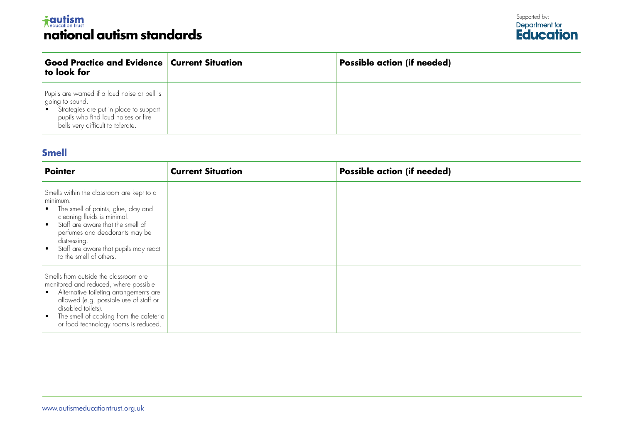# <del>i autism</del><br>national autism standards

| <b>Good Practice and Evidence Current Situation</b><br>to look for                                                                                                                      | <b>Possible action (if needed)</b> |
|-----------------------------------------------------------------------------------------------------------------------------------------------------------------------------------------|------------------------------------|
| Pupils are warned if a loud noise or bell is<br>going to sound.<br>• Strategies are put in place to support<br>pupils who find loud noises or fire<br>bells very difficult to tolerate. |                                    |

### **Smell**

| <b>Pointer</b>                                                                                                                                                                                                                                                                                        | <b>Current Situation</b> | <b>Possible action (if needed)</b> |
|-------------------------------------------------------------------------------------------------------------------------------------------------------------------------------------------------------------------------------------------------------------------------------------------------------|--------------------------|------------------------------------|
| Smells within the classroom are kept to a<br>minimum.<br>• The smell of paints, glue, clay and<br>cleaning fluids is minimal.<br>Staff are aware that the smell of<br>$\bullet$<br>perfumes and deodorants may be<br>distressing.<br>Staff are aware that pupils may react<br>to the smell of others. |                          |                                    |
| Smells from outside the classroom are<br>monitored and reduced, where possible<br>• Alternative toileting arrangements are<br>allowed (e.g. possible use of staff or<br>disabled toilets).<br>The smell of cooking from the cafeteria<br>$\bullet$<br>or food technology rooms is reduced.            |                          |                                    |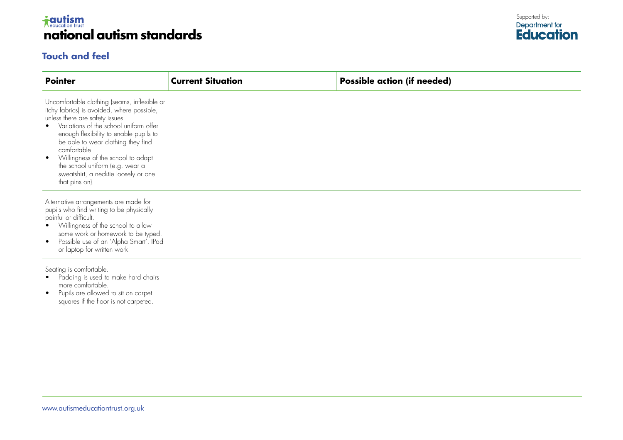

### **Touch and feel**



| <b>Pointer</b>                                                                                                                                                                                                                                                                                                                                                                                                         | <b>Current Situation</b> | <b>Possible action (if needed)</b> |
|------------------------------------------------------------------------------------------------------------------------------------------------------------------------------------------------------------------------------------------------------------------------------------------------------------------------------------------------------------------------------------------------------------------------|--------------------------|------------------------------------|
| Uncomfortable clothing (seams, inflexible or<br>itchy fabrics) is avoided, where possible,<br>unless there are safety issues<br>Variations of the school uniform offer<br>enough flexibility to enable pupils to<br>be able to wear clothing they find<br>comfortable.<br>Willingness of the school to adapt<br>$\bullet$<br>the school uniform (e.g. wear a<br>sweatshirt, a necktie loosely or one<br>that pins on). |                          |                                    |
| Alternative arrangements are made for<br>pupils who find writing to be physically<br>painful or difficult.<br>Willingness of the school to allow<br>some work or homework to be typed.<br>Possible use of an 'Alpha Smart', IPad<br>$\bullet$<br>or laptop for written work                                                                                                                                            |                          |                                    |
| Seating is comfortable.<br>Padding is used to make hard chairs<br>more comfortable.<br>Pupils are allowed to sit on carpet<br>squares if the floor is not carpeted.                                                                                                                                                                                                                                                    |                          |                                    |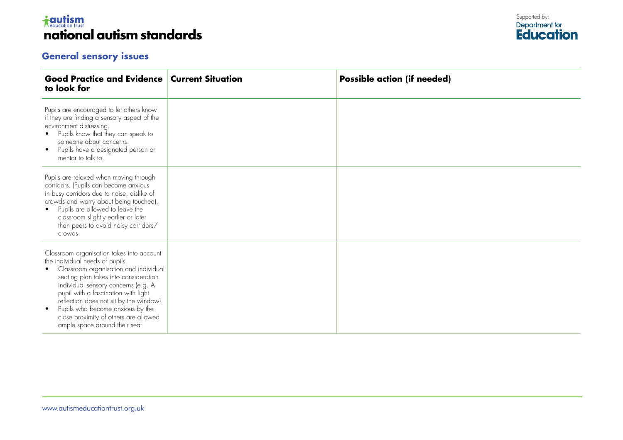## *i***cutism national autism standards ard**

### **General sensory issues**

| <b>Good Practice and Evidence Current Situation</b><br>to look for                                                                                                                                                                                                                                                                                                                                                      | <b>Possible action (if needed)</b> |
|-------------------------------------------------------------------------------------------------------------------------------------------------------------------------------------------------------------------------------------------------------------------------------------------------------------------------------------------------------------------------------------------------------------------------|------------------------------------|
| Pupils are encouraged to let others know<br>if they are finding a sensory aspect of the<br>environment distressing.<br>Pupils know that they can speak to<br>someone about concerns.<br>Pupils have a designated person or<br>$\bullet$<br>mentor to talk to.                                                                                                                                                           |                                    |
| Pupils are relaxed when moving through<br>corridors. (Pupils can become anxious<br>in busy corridors due to noise, dislike of<br>crowds and worry about being touched).<br>Pupils are allowed to leave the<br>$\bullet$<br>classroom slightly earlier or later<br>than peers to avoid noisy corridors/<br>crowds.                                                                                                       |                                    |
| Classroom organisation takes into account<br>the individual needs of pupils.<br>Classroom organisation and individual<br>٠<br>seating plan takes into consideration<br>individual sensory concerns (e.g. A<br>pupil with a fascination with light<br>reflection does not sit by the window).<br>Pupils who become anxious by the<br>$\bullet$<br>close proximity of others are allowed<br>ample space around their seat |                                    |